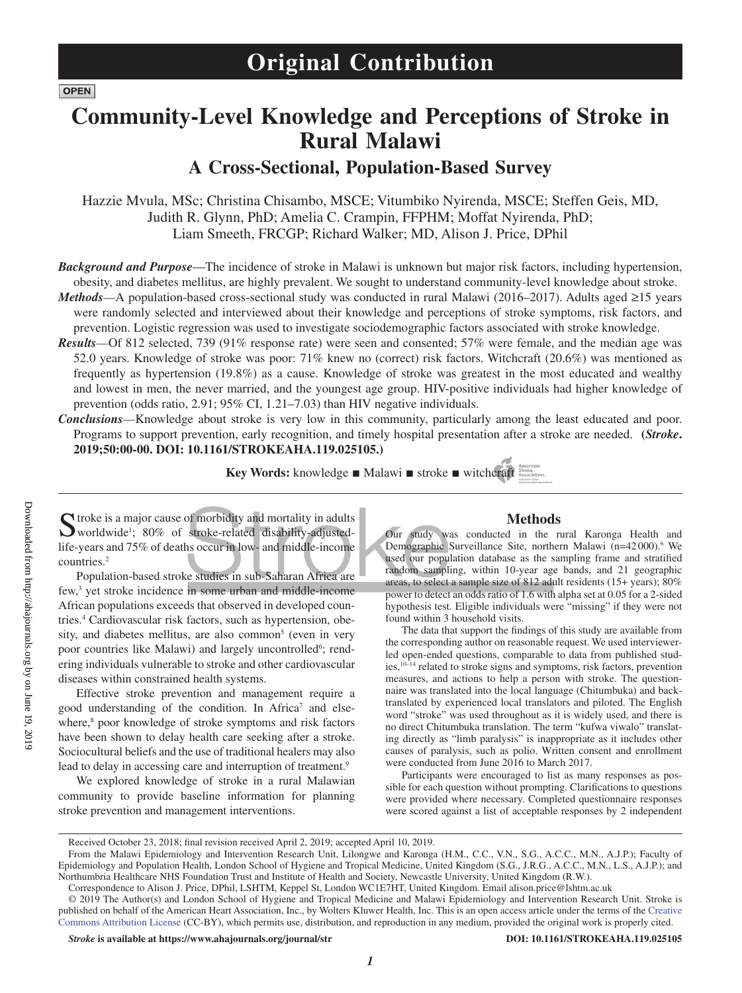**OPEN** 

Downloaded from http://ahajournals.org by on June 19, 2019

Downloaded from http://ahajournals.org by on June 19, 2019

# **Community-Level Knowledge and Perceptions of Stroke in Rural Malawi**

## **A Cross-Sectional, Population-Based Survey**

Hazzie Mvula, MSc; Christina Chisambo, MSCE; Vitumbiko Nyirenda, MSCE; Steffen Geis, MD, Judith R. Glynn, PhD; Amelia C. Crampin, FFPHM; Moffat Nyirenda, PhD; Liam Smeeth, FRCGP; Richard Walker; MD, Alison J. Price, DPhil

*Background and Purpose*—The incidence of stroke in Malawi is unknown but major risk factors, including hypertension, obesity, and diabetes mellitus, are highly prevalent. We sought to understand community-level knowledge about stroke.

*Methods*—A population-based cross-sectional study was conducted in rural Malawi (2016–2017). Adults aged ≥15 years were randomly selected and interviewed about their knowledge and perceptions of stroke symptoms, risk factors, and prevention. Logistic regression was used to investigate sociodemographic factors associated with stroke knowledge.

- *Results*—Of 812 selected, 739 (91% response rate) were seen and consented; 57% were female, and the median age was 52.0 years. Knowledge of stroke was poor: 71% knew no (correct) risk factors. Witchcraft (20.6%) was mentioned as frequently as hypertension (19.8%) as a cause. Knowledge of stroke was greatest in the most educated and wealthy and lowest in men, the never married, and the youngest age group. HIV-positive individuals had higher knowledge of prevention (odds ratio, 2.91; 95% CI, 1.21–7.03) than HIV negative individuals.
- *Conclusions*—Knowledge about stroke is very low in this community, particularly among the least educated and poor. Programs to support prevention, early recognition, and timely hospital presentation after a stroke are needed. **(***Stroke***. 2019;50:00-00. DOI: 10.1161/STROKEAHA.119.025105.)**

**Key Words:** knowledge ■ Malawi ■ stroke ■ witchcraft assets

 $\Gamma$  troke is a major cause of morbidity and mortality in adults worldwide1 ; 80% of stroke-related disability-adjustedlife-years and 75% of deaths occur in low- and middle-income countries.2

Population-based stroke studies in sub-Saharan Africa are few,<sup>3</sup> yet stroke incidence in some urban and middle-income African populations exceeds that observed in developed countries.4 Cardiovascular risk factors, such as hypertension, obesity, and diabetes mellitus, are also common<sup>5</sup> (even in very poor countries like Malawi) and largely uncontrolled<sup>6</sup>; rendering individuals vulnerable to stroke and other cardiovascular diseases within constrained health systems.

Effective stroke prevention and management require a good understanding of the condition. In Africa<sup>7</sup> and elsewhere,<sup>8</sup> poor knowledge of stroke symptoms and risk factors have been shown to delay health care seeking after a stroke. Sociocultural beliefs and the use of traditional healers may also lead to delay in accessing care and interruption of treatment.<sup>9</sup>

We explored knowledge of stroke in a rural Malawian community to provide baseline information for planning stroke prevention and management interventions.

#### **Methods**

Our study was conducted in the rural Karonga Health and Demographic Surveillance Site, northern Malawi (n=42000).<sup>6</sup> We used our population database as the sampling frame and stratified random sampling, within 10-year age bands, and 21 geographic areas, to select a sample size of 812 adult residents (15+ years); 80% power to detect an odds ratio of 1.6 with alpha set at 0.05 for a 2-sided hypothesis test. Eligible individuals were "missing" if they were not found within 3 household visits.

The data that support the findings of this study are available from the corresponding author on reasonable request. We used interviewerled open-ended questions, comparable to data from published studies,10–14 related to stroke signs and symptoms, risk factors, prevention measures, and actions to help a person with stroke. The questionnaire was translated into the local language (Chitumbuka) and backtranslated by experienced local translators and piloted. The English word "stroke" was used throughout as it is widely used, and there is no direct Chitumbuka translation. The term "kufwa viwalo" translating directly as "limb paralysis" is inappropriate as it includes other causes of paralysis, such as polio. Written consent and enrollment were conducted from June 2016 to March 2017.

Participants were encouraged to list as many responses as possible for each question without prompting. Clarifications to questions were provided where necessary. Completed questionnaire responses were scored against a list of acceptable responses by 2 independent

Received October 23, 2018; final revision received April 2, 2019; accepted April 10, 2019.

From the Malawi Epidemiology and Intervention Research Unit, Lilongwe and Karonga (H.M., C.C., V.N., S.G., A.C.C., M.N., A.J.P.); Faculty of Epidemiology and Population Health, London School of Hygiene and Tropical Medicine, United Kingdom (S.G., J.R.G., A.C.C., M.N., L.S., A.J.P.); and Northumbria Healthcare NHS Foundation Trust and Institute of Health and Society, Newcastle University, United Kingdom (R.W.).

Correspondence to Alison J. Price, DPhil, LSHTM, Keppel St, London WC1E7HT, United Kingdom. Email [alison.price@lshtm.ac.uk](mailto:alison.price@lshtm.ac.uk)

<sup>© 2019</sup> The Author(s) and London School of Hygiene and Tropical Medicine and Malawi Epidemiology and Intervention Research Unit. Stroke is published on behalf of the American Heart Association, Inc., by Wolters Kluwer Health, Inc. This is an open access article under the terms of the Creative Commons Attribution License (CC-BY), which permits use, distribution, and reproduction in any medium, provided the original work is properly cited.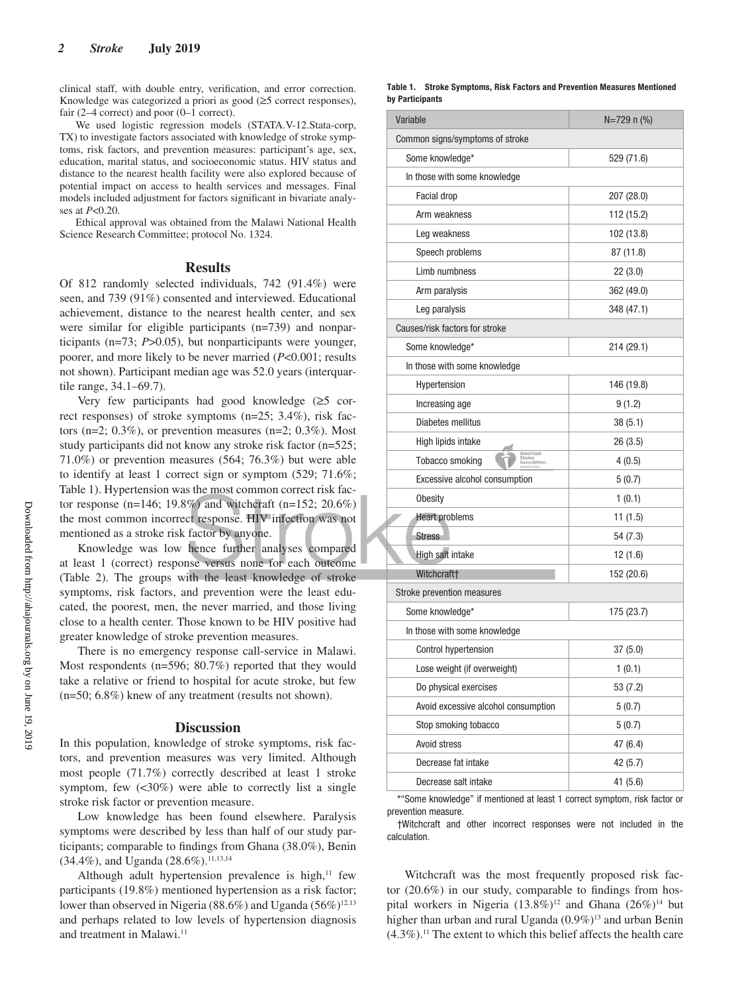clinical staff, with double entry, verification, and error correction. Knowledge was categorized a priori as good (≥5 correct responses), fair (2–4 correct) and poor (0–1 correct).

We used logistic regression models (STATA.V-12.Stata-corp, TX) to investigate factors associated with knowledge of stroke symptoms, risk factors, and prevention measures: participant's age, sex, education, marital status, and socioeconomic status. HIV status and distance to the nearest health facility were also explored because of potential impact on access to health services and messages. Final models included adjustment for factors significant in bivariate analyses at *P*<0.20.

Ethical approval was obtained from the Malawi National Health Science Research Committee; protocol No. 1324.

#### **Results**

Of 812 randomly selected individuals, 742 (91.4%) were seen, and 739 (91%) consented and interviewed. Educational achievement, distance to the nearest health center, and sex were similar for eligible participants (n=739) and nonparticipants (n=73; *P*>0.05), but nonparticipants were younger, poorer, and more likely to be never married (*P*<0.001; results not shown). Participant median age was 52.0 years (interquartile range, 34.1–69.7).

Very few participants had good knowledge (≥5 correct responses) of stroke symptoms (n=25; 3.4%), risk factors (n=2;  $0.3\%$ ), or prevention measures (n=2;  $0.3\%$ ). Most study participants did not know any stroke risk factor (n=525; 71.0%) or prevention measures (564; 76.3%) but were able to identify at least 1 correct sign or symptom (529; 71.6%; Table 1). Hypertension was the most common correct risk factor response (n=146; 19.8%) and witchcraft (n=152; 20.6%) the most common incorrect response. HIV infection was not mentioned as a stroke risk factor by anyone.

Knowledge was low hence further analyses compared at least 1 (correct) response versus none for each outcome (Table 2). The groups with the least knowledge of stroke symptoms, risk factors, and prevention were the least educated, the poorest, men, the never married, and those living close to a health center. Those known to be HIV positive had greater knowledge of stroke prevention measures.

There is no emergency response call-service in Malawi. Most respondents (n=596; 80.7%) reported that they would take a relative or friend to hospital for acute stroke, but few (n=50; 6.8%) knew of any treatment (results not shown).

#### **Discussion**

In this population, knowledge of stroke symptoms, risk factors, and prevention measures was very limited. Although most people (71.7%) correctly described at least 1 stroke symptom, few  $\langle 30\% \rangle$  were able to correctly list a single stroke risk factor or prevention measure.

Low knowledge has been found elsewhere. Paralysis symptoms were described by less than half of our study participants; comparable to findings from Ghana (38.0%), Benin (34.4%), and Uganda (28.6%).<sup>11,13,14</sup>

Although adult hypertension prevalence is high, $11$  few participants (19.8%) mentioned hypertension as a risk factor; lower than observed in Nigeria (88.6%) and Uganda (56%)<sup>12,13</sup> and perhaps related to low levels of hypertension diagnosis and treatment in Malawi.<sup>11</sup>

| Table 1.        | <b>Stroke Symptoms, Risk Factors and Prevention Measures Mentioned</b> |  |  |
|-----------------|------------------------------------------------------------------------|--|--|
| by Participants |                                                                        |  |  |

| Variable                                                     | $N=729$ n $(\% )$ |
|--------------------------------------------------------------|-------------------|
| Common signs/symptoms of stroke                              |                   |
| Some knowledge*                                              | 529 (71.6)        |
| In those with some knowledge                                 |                   |
| Facial drop                                                  | 207 (28.0)        |
| Arm weakness                                                 | 112 (15.2)        |
| Leg weakness                                                 | 102 (13.8)        |
| Speech problems                                              | 87 (11.8)         |
| Limb numbness                                                | 22(3.0)           |
| Arm paralysis                                                | 362 (49.0)        |
| Leg paralysis                                                | 348 (47.1)        |
| Causes/risk factors for stroke                               |                   |
| Some knowledge*                                              | 214 (29.1)        |
| In those with some knowledge                                 |                   |
| Hypertension                                                 | 146 (19.8)        |
| Increasing age                                               | 9 (1.2)           |
| Diabetes mellitus                                            | 38(5.1)           |
| High lipids intake                                           | 26(3.5)           |
| American<br>Stroke<br>Association.<br><b>Tobacco smoking</b> | 4(0.5)            |
| Excessive alcohol consumption                                | 5(0.7)            |
| <b>Obesity</b>                                               | 1(0.1)            |
| <b>Heart problems</b>                                        | 11(1.5)           |
| <b>Stress</b>                                                | 54 (7.3)          |
| High salt intake                                             | 12(1.6)           |
| Witchcraft <sup>+</sup>                                      | 152 (20.6)        |
| Stroke prevention measures                                   |                   |
| Some knowledge*                                              | 175 (23.7)        |
| In those with some knowledge                                 |                   |
| Control hypertension                                         | 37 (5.0)          |
| Lose weight (if overweight)                                  | 1(0.1)            |
| Do physical exercises                                        | 53 (7.2)          |
| Avoid excessive alcohol consumption                          | 5(0.7)            |
| Stop smoking tobacco                                         | 5(0.7)            |
| Avoid stress                                                 | 47 (6.4)          |
| Decrease fat intake                                          | 42 (5.7)          |
| Decrease salt intake                                         | 41 (5.6)          |
|                                                              |                   |

\*"Some knowledge" if mentioned at least 1 correct symptom, risk factor or prevention measure.

†Witchcraft and other incorrect responses were not included in the calculation.

Witchcraft was the most frequently proposed risk factor (20.6%) in our study, comparable to findings from hospital workers in Nigeria  $(13.8\%)^{12}$  and Ghana  $(26\%)^{14}$  but higher than urban and rural Uganda (0.9%)<sup>13</sup> and urban Benin  $(4.3\%)$ .<sup>11</sup> The extent to which this belief affects the health care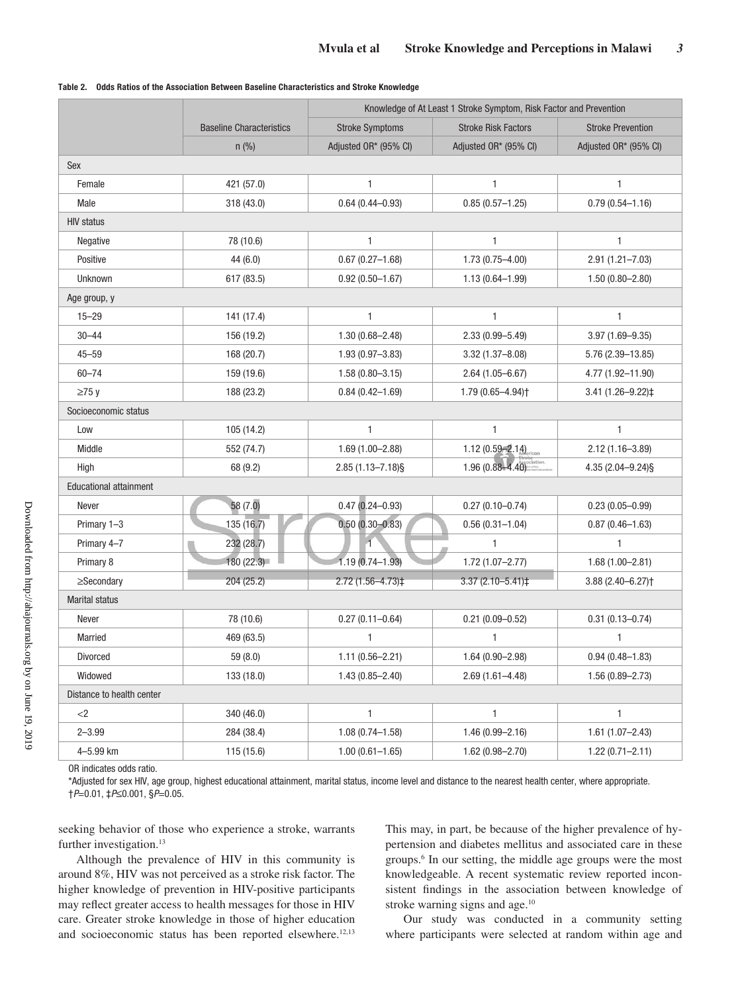|                               |                                 | Knowledge of At Least 1 Stroke Symptom, Risk Factor and Prevention |                               |                                  |  |
|-------------------------------|---------------------------------|--------------------------------------------------------------------|-------------------------------|----------------------------------|--|
|                               | <b>Baseline Characteristics</b> | <b>Stroke Symptoms</b>                                             | <b>Stroke Risk Factors</b>    | <b>Stroke Prevention</b>         |  |
|                               | $n$ (%)                         | Adjusted OR* (95% CI)                                              | Adjusted OR* (95% CI)         | Adjusted OR* (95% CI)            |  |
| Sex                           |                                 |                                                                    |                               |                                  |  |
| Female                        | 421 (57.0)                      | $\mathbf{1}$                                                       | $\mathbf{1}$                  | $\mathbf{1}$                     |  |
| Male                          | 318 (43.0)                      | $0.64(0.44 - 0.93)$                                                | $0.85(0.57 - 1.25)$           | $0.79(0.54 - 1.16)$              |  |
| <b>HIV status</b>             |                                 |                                                                    |                               |                                  |  |
| <b>Negative</b>               | 78 (10.6)                       | 1                                                                  | 1                             | 1                                |  |
| Positive                      | 44 (6.0)                        | $0.67(0.27 - 1.68)$                                                | $1.73(0.75 - 4.00)$           | $2.91(1.21 - 7.03)$              |  |
| Unknown                       | 617 (83.5)                      | $0.92(0.50 - 1.67)$                                                | $1.13(0.64 - 1.99)$           | $1.50(0.80 - 2.80)$              |  |
| Age group, y                  |                                 |                                                                    |                               |                                  |  |
| $15 - 29$                     | 141 (17.4)                      | $\mathbf{1}$                                                       | $\mathbf{1}$                  | 1                                |  |
| $30 - 44$                     | 156 (19.2)                      | $1.30(0.68 - 2.48)$                                                | $2.33(0.99 - 5.49)$           | $3.97(1.69 - 9.35)$              |  |
| $45 - 59$                     | 168 (20.7)                      | $1.93(0.97 - 3.83)$                                                | $3.32(1.37 - 8.08)$           | $5.76(2.39 - 13.85)$             |  |
| $60 - 74$                     | 159 (19.6)                      | $1.58(0.80 - 3.15)$                                                | $2.64(1.05 - 6.67)$           | 4.77 (1.92-11.90)                |  |
| $\geq$ 75 y                   | 188 (23.2)                      | $0.84(0.42 - 1.69)$                                                | 1.79 (0.65-4.94) <sup>+</sup> | 3.41 (1.26-9.22)‡                |  |
| Socioeconomic status          |                                 |                                                                    |                               |                                  |  |
| Low                           | 105 (14.2)                      | $\mathbf{1}$                                                       | $\mathbf{1}$                  | 1                                |  |
| Middle                        | 552 (74.7)                      | $1.69(1.00 - 2.88)$                                                | 1.12 $(0.59 - 2.14)$          | $2.12(1.16 - 3.89)$              |  |
| High                          | 68 (9.2)                        | $2.85(1.13 - 7.18)\$                                               | $1.96(0.88 - 4.40)$           | 4.35 (2.04-9.24) §               |  |
| <b>Educational attainment</b> |                                 |                                                                    |                               |                                  |  |
| Never                         | 58 (7.0)                        | $0.47(0.24 - 0.93)$                                                | $0.27(0.10 - 0.74)$           | $0.23(0.05 - 0.99)$              |  |
| Primary 1-3                   | 135 (16.7)                      | $0.50(0.30 - 0.83)$                                                | $0.56(0.31 - 1.04)$           | $0.87(0.46 - 1.63)$              |  |
| Primary 4-7                   | 232 (28.7)                      | $\overline{1}$                                                     | $\mathbf{1}$                  | 1                                |  |
| Primary 8                     | 180 (22.3)                      | $1.19(0.74 - 1.93)$                                                | $1.72(1.07 - 2.77)$           | $1.68(1.00 - 2.81)$              |  |
| $\geq$ Secondary              | 204 (25.2)                      | 2.72 (1.56-4.73)‡                                                  | 3.37 (2.10-5.41)‡             | $3.88(2.40 - 6.27)$ <sup>+</sup> |  |
| <b>Marital status</b>         |                                 |                                                                    |                               |                                  |  |
| Never                         | 78 (10.6)                       | $0.27(0.11 - 0.64)$                                                | $0.21(0.09 - 0.52)$           | $0.31(0.13 - 0.74)$              |  |
| Married                       | 469 (63.5)                      | 1                                                                  | 1                             | 1                                |  |
| Divorced                      | 59 (8.0)                        | $1.11(0.56 - 2.21)$                                                | $1.64(0.90 - 2.98)$           | $0.94(0.48 - 1.83)$              |  |
| Widowed                       | 133 (18.0)                      | $1.43(0.85 - 2.40)$                                                | $2.69(1.61 - 4.48)$           | $1.56(0.89 - 2.73)$              |  |
| Distance to health center     |                                 |                                                                    |                               |                                  |  |
| $<$ 2                         | 340 (46.0)                      | $\mathbf{1}$                                                       | $\mathbf{1}$                  | 1                                |  |
| $2 - 3.99$                    | 284 (38.4)                      | $1.08(0.74 - 1.58)$                                                | $1.46(0.99 - 2.16)$           | $1.61(1.07 - 2.43)$              |  |
| 4-5.99 km                     | 115 (15.6)                      | $1.00(0.61 - 1.65)$                                                | $1.62(0.98 - 2.70)$           | $1.22(0.71 - 2.11)$              |  |

| Table 2. Odds Ratios of the Association Between Baseline Characteristics and Stroke Knowledge |  |  |  |  |  |  |
|-----------------------------------------------------------------------------------------------|--|--|--|--|--|--|
|-----------------------------------------------------------------------------------------------|--|--|--|--|--|--|

OR indicates odds ratio.

\*Adjusted for sex HIV, age group, highest educational attainment, marital status, income level and distance to the nearest health center, where appropriate. †P=0.01, ‡P≤0.001, §P=0.05.

seeking behavior of those who experience a stroke, warrants further investigation.<sup>13</sup>

Although the prevalence of HIV in this community is around 8%, HIV was not perceived as a stroke risk factor. The higher knowledge of prevention in HIV-positive participants may reflect greater access to health messages for those in HIV care. Greater stroke knowledge in those of higher education and socioeconomic status has been reported elsewhere.12,13 This may, in part, be because of the higher prevalence of hypertension and diabetes mellitus and associated care in these groups.6 In our setting, the middle age groups were the most knowledgeable. A recent systematic review reported inconsistent findings in the association between knowledge of stroke warning signs and age.<sup>10</sup>

Our study was conducted in a community setting where participants were selected at random within age and